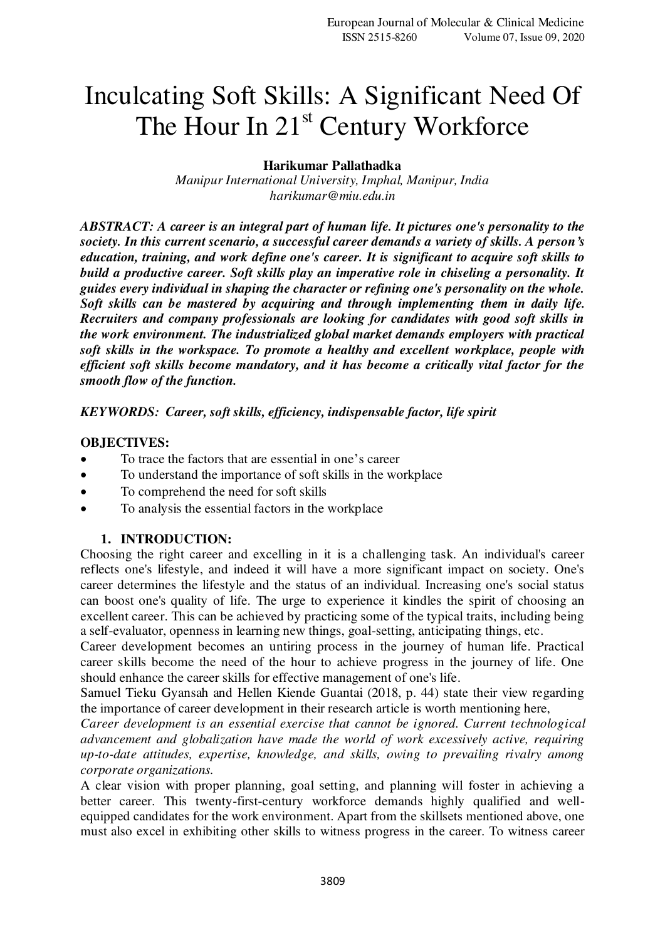# Inculcating Soft Skills: A Significant Need Of The Hour In 21<sup>st</sup> Century Workforce

**Harikumar Pallathadka** 

*Manipur International University, Imphal, Manipur, India [harikumar@miu.edu.in](mailto:harikumar@miu.edu.in)* 

*ABSTRACT: A career is an integral part of human life. It pictures one's personality to the society. In this current scenario, a successful career demands a variety of skills. A person's education, training, and work define one's career. It is significant to acquire soft skills to build a productive career. Soft skills play an imperative role in chiseling a personality. It guides every individual in shaping the character or refining one's personality on the whole. Soft skills can be mastered by acquiring and through implementing them in daily life. Recruiters and company professionals are looking for candidates with good soft skills in the work environment. The industrialized global market demands employers with practical soft skills in the workspace. To promote a healthy and excellent workplace, people with efficient soft skills become mandatory, and it has become a critically vital factor for the smooth flow of the function.* 

*KEYWORDS: Career, soft skills, efficiency, indispensable factor, life spirit* 

#### **OBJECTIVES:**

- To trace the factors that are essential in one's career
- To understand the importance of soft skills in the workplace
- To comprehend the need for soft skills
- To analysis the essential factors in the workplace

#### **1. INTRODUCTION:**

Choosing the right career and excelling in it is a challenging task. An individual's career reflects one's lifestyle, and indeed it will have a more significant impact on society. One's career determines the lifestyle and the status of an individual. Increasing one's social status can boost one's quality of life. The urge to experience it kindles the spirit of choosing an excellent career. This can be achieved by practicing some of the typical traits, including being a self-evaluator, openness in learning new things, goal-setting, anticipating things, etc.

Career development becomes an untiring process in the journey of human life. Practical career skills become the need of the hour to achieve progress in the journey of life. One should enhance the career skills for effective management of one's life.

Samuel Tieku Gyansah and Hellen Kiende Guantai (2018, p. 44) state their view regarding the importance of career development in their research article is worth mentioning here,

*Career development is an essential exercise that cannot be ignored. Current technological advancement and globalization have made the world of work excessively active, requiring up-to-date attitudes, expertise, knowledge, and skills, owing to prevailing rivalry among corporate organizations.* 

A clear vision with proper planning, goal setting, and planning will foster in achieving a better career. This twenty-first-century workforce demands highly qualified and wellequipped candidates for the work environment. Apart from the skillsets mentioned above, one must also excel in exhibiting other skills to witness progress in the career. To witness career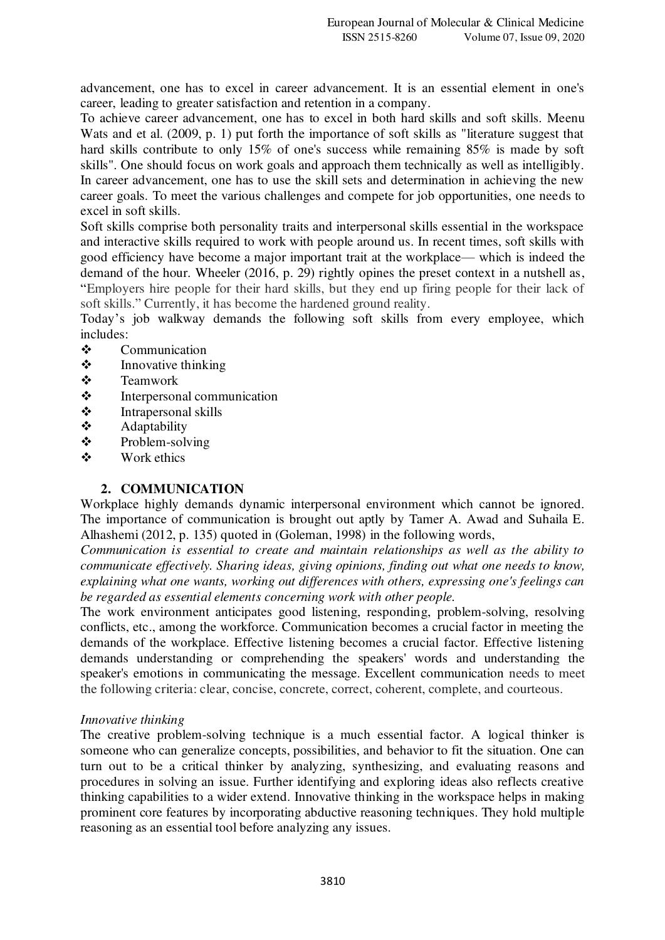advancement, one has to excel in career advancement. It is an essential element in one's career, leading to greater satisfaction and retention in a company.

To achieve career advancement, one has to excel in both hard skills and soft skills. Meenu Wats and et al. (2009, p. 1) put forth the importance of soft skills as "literature suggest that hard skills contribute to only 15% of one's success while remaining 85% is made by soft skills". One should focus on work goals and approach them technically as well as intelligibly. In career advancement, one has to use the skill sets and determination in achieving the new career goals. To meet the various challenges and compete for job opportunities, one needs to excel in soft skills.

Soft skills comprise both personality traits and interpersonal skills essential in the workspace and interactive skills required to work with people around us. In recent times, soft skills with good efficiency have become a major important trait at the workplace— which is indeed the demand of the hour. [Wheeler \(2016, p. 29\) rightly opines the preset context in a nutshell as,](https://journals.sagepub.com/doi/full/10.1177/2158244018811404) "Employers hire people for their hard skills, but they end up firing people for their lack of soft skills." Currently, it has become the hardened ground reality.

Today's job walkway demands the following soft skills from every employee, which includes:

- $\begin{array}{cc}\n\bullet \\
\bullet \\
\bullet\n\end{array}$  Communication
- Innovative thinking
- **❖** Teamwork
- $\triangle$  Interpersonal communication
- $\bullet$  Intrapersonal skills<br>  $\bullet$  Adaptability
- Adaptability
- $\mathbf{\hat{\cdot}}$  Problem-solving
- $\mathbf{\hat{\cdot}}$  Work ethics

## **2. COMMUNICATION**

Workplace highly demands dynamic interpersonal environment which cannot be ignored. The importance of communication is brought out aptly by Tamer A. Awad and Suhaila E. Alhashemi (2012, p. 135) quoted in (Goleman, 1998) in the following words,

*Communication is essential to create and maintain relationships as well as the ability to communicate effectively. Sharing ideas, giving opinions, finding out what one needs to know, explaining what one wants, working out differences with others, expressing one's feelings can be regarded as essential elements concerning work with other people.* 

The work environment anticipates good listening, responding, problem-solving, resolving conflicts, etc., among the workforce. Communication becomes a crucial factor in meeting the demands of the workplace. Effective listening becomes a crucial factor. Effective listening demands understanding or comprehending the speakers' words and understanding the speaker's emotions in communicating the message. Excellent communication needs to meet the following criteria: clear, concise, concrete, correct, coherent, complete, and courteous.

## *Innovative thinking*

The creative problem-solving technique is a much essential factor. A logical thinker is someone who can generalize concepts, possibilities, and behavior to fit the situation. One can turn out to be a critical thinker by analyzing, synthesizing, and evaluating reasons and procedures in solving an issue. Further identifying and exploring ideas also reflects creative thinking capabilities to a wider extend. Innovative thinking in the workspace helps in making prominent core features by incorporating abductive reasoning techniques. They hold multiple reasoning as an essential tool before analyzing any issues.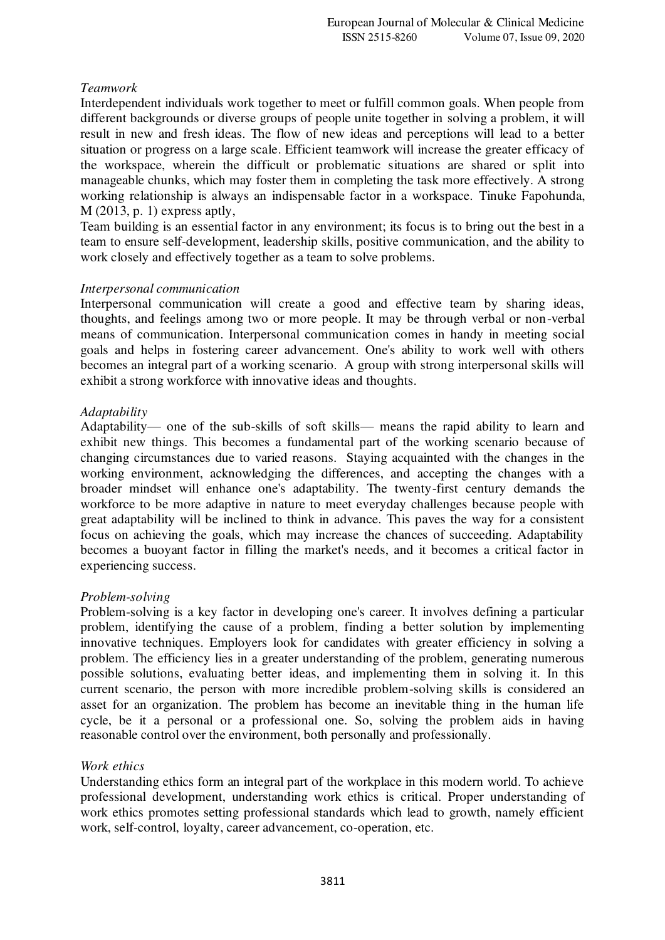## *Teamwork*

Interdependent individuals work together to meet or fulfill common goals. When people from different backgrounds or diverse groups of people unite together in solving a problem, it will result in new and fresh ideas. The flow of new ideas and perceptions will lead to a better situation or progress on a large scale. Efficient teamwork will increase the greater efficacy of the workspace, wherein the difficult or problematic situations are shared or split into manageable chunks, which may foster them in completing the task more effectively. A strong working relationship is always an indispensable factor in a workspace. Tinuke Fapohunda, M (2013, p. 1) express aptly,

Team building is an essential factor in any environment; its focus is to bring out the best in a team to ensure self-development, leadership skills, positive communication, and the ability to work closely and effectively together as a team to solve problems.

## *Interpersonal communication*

Interpersonal communication will create a good and effective team by sharing ideas, thoughts, and feelings among two or more people. It may be through verbal or non-verbal means of communication. Interpersonal communication comes in handy in meeting social goals and helps in fostering career advancement. One's ability to work well with others becomes an integral part of a working scenario. A group with strong interpersonal skills will exhibit a strong workforce with innovative ideas and thoughts.

## *Adaptability*

Adaptability— one of the sub-skills of soft skills— means the rapid ability to learn and exhibit new things. This becomes a fundamental part of the working scenario because of changing circumstances due to varied reasons. Staying acquainted with the changes in the working environment, acknowledging the differences, and accepting the changes with a broader mindset will enhance one's adaptability. The twenty-first century demands the workforce to be more adaptive in nature to meet everyday challenges because people with great adaptability will be inclined to think in advance. This paves the way for a consistent focus on achieving the goals, which may increase the chances of succeeding. Adaptability becomes a buoyant factor in filling the market's needs, and it becomes a critical factor in experiencing success.

## *Problem-solving*

Problem-solving is a key factor in developing one's career. It involves defining a particular problem, identifying the cause of a problem, finding a better solution by implementing innovative techniques. Employers look for candidates with greater efficiency in solving a problem. The efficiency lies in a greater understanding of the problem, generating numerous possible solutions, evaluating better ideas, and implementing them in solving it. In this current scenario, the person with more incredible problem-solving skills is considered an asset for an organization. The problem has become an inevitable thing in the human life cycle, be it a personal or a professional one. So, solving the problem aids in having reasonable control over the environment, both personally and professionally.

## *Work ethics*

Understanding ethics form an integral part of the workplace in this modern world. To achieve professional development, understanding work ethics is critical. Proper understanding of work ethics promotes setting professional standards which lead to growth, namely efficient work, self-control, loyalty, career advancement, co-operation, etc.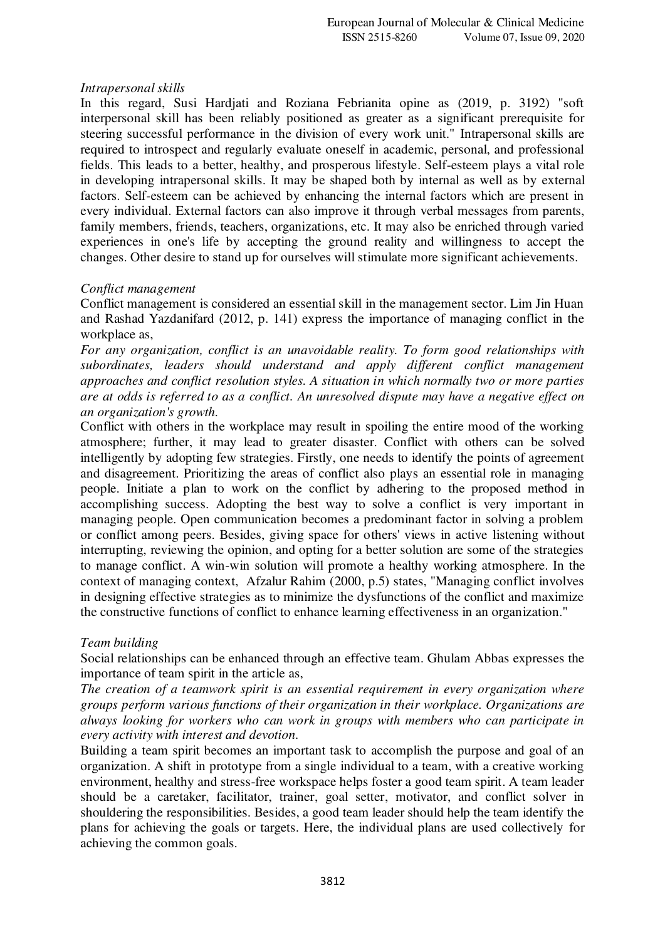#### *Intrapersonal skills*

In this regard, Susi Hardjati and Roziana Febrianita opine as (2019, p. 3192) "soft interpersonal skill has been reliably positioned as greater as a significant prerequisite for steering successful performance in the division of every work unit." Intrapersonal skills are required to introspect and regularly evaluate oneself in academic, personal, and professional fields. This leads to a better, healthy, and prosperous lifestyle. Self-esteem plays a vital role in developing intrapersonal skills. It may be shaped both by internal as well as by external factors. Self-esteem can be achieved by enhancing the internal factors which are present in every individual. External factors can also improve it through verbal messages from parents, family members, friends, teachers, organizations, etc. It may also be enriched through varied experiences in one's life by accepting the ground reality and willingness to accept the changes. Other desire to stand up for ourselves will stimulate more significant achievements.

#### *Conflict management*

Conflict management is considered an essential skill in the management sector. Lim Jin Huan and Rashad Yazdanifard (2012, p. 141) express the importance of managing conflict in the workplace as,

*For any organization, conflict is an unavoidable reality. To form good relationships with subordinates, leaders should understand and apply different conflict management approaches and conflict resolution styles. A situation in which normally two or more parties are at odds is referred to as a conflict. An unresolved dispute may have a negative effect on an organization's growth.* 

Conflict with others in the workplace may result in spoiling the entire mood of the working atmosphere; further, it may lead to greater disaster. Conflict with others can be solved intelligently by adopting few strategies. Firstly, one needs to identify the points of agreement and disagreement. Prioritizing the areas of conflict also plays an essential role in managing people. Initiate a plan to work on the conflict by adhering to the proposed method in accomplishing success. Adopting the best way to solve a conflict is very important in managing people. Open communication becomes a predominant factor in solving a problem or conflict among peers. Besides, giving space for others' views in active listening without interrupting, reviewing the opinion, and opting for a better solution are some of the strategies to manage conflict. A win-win solution will promote a healthy working atmosphere. In the context of managing context, Afzalur Rahim (2000, p.5) states, "Managing conflict involves in designing effective strategies as to minimize the dysfunctions of the conflict and maximize the constructive functions of conflict to enhance learning effectiveness in an organization."

## *Team building*

Social relationships can be enhanced through an effective team. Ghulam Abbas expresses the importance of team spirit in the article as,

*The creation of a teamwork spirit is an essential requirement in every organization where groups perform various functions of their organization in their workplace. Organizations are always looking for workers who can work in groups with members who can participate in every activity with interest and devotion.* 

Building a team spirit becomes an important task to accomplish the purpose and goal of an organization. A shift in prototype from a single individual to a team, with a creative working environment, healthy and stress-free workspace helps foster a good team spirit. A team leader should be a caretaker, facilitator, trainer, goal setter, motivator, and conflict solver in shouldering the responsibilities. Besides, a good team leader should help the team identify the plans for achieving the goals or targets. Here, the individual plans are used collectively for achieving the common goals.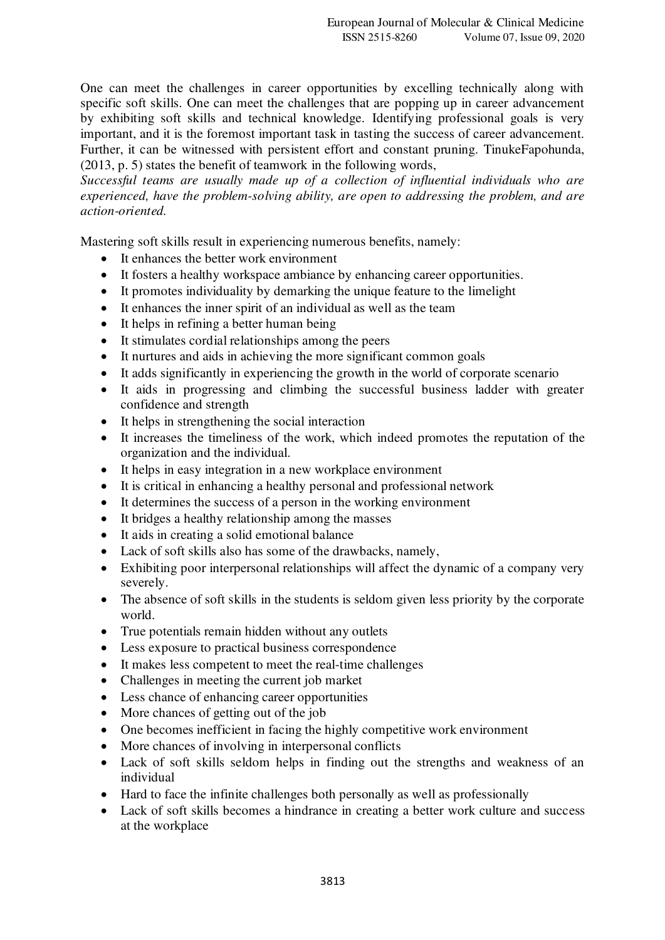One can meet the challenges in career opportunities by excelling technically along with specific soft skills. One can meet the challenges that are popping up in career advancement by exhibiting soft skills and technical knowledge. Identifying professional goals is very important, and it is the foremost important task in tasting the success of career advancement. Further, it can be witnessed with persistent effort and constant pruning. TinukeFapohunda, (2013, p. 5) states the benefit of teamwork in the following words,

*Successful teams are usually made up of a collection of influential individuals who are experienced, have the problem-solving ability, are open to addressing the problem, and are action-oriented.* 

Mastering soft skills result in experiencing numerous benefits, namely:

- It enhances the better work environment
- It fosters a healthy workspace ambiance by enhancing career opportunities.
- It promotes individuality by demarking the unique feature to the limelight
- It enhances the inner spirit of an individual as well as the team
- It helps in refining a better human being
- It stimulates cordial relationships among the peers
- It nurtures and aids in achieving the more significant common goals
- It adds significantly in experiencing the growth in the world of corporate scenario
- It aids in progressing and climbing the successful business ladder with greater confidence and strength
- It helps in strengthening the social interaction
- It increases the timeliness of the work, which indeed promotes the reputation of the organization and the individual.
- It helps in easy integration in a new workplace environment
- It is critical in enhancing a healthy personal and professional network
- It determines the success of a person in the working environment
- It bridges a healthy relationship among the masses
- It aids in creating a solid emotional balance
- Lack of soft skills also has some of the drawbacks, namely,
- Exhibiting poor interpersonal relationships will affect the dynamic of a company very severely.
- The absence of soft skills in the students is seldom given less priority by the corporate world.
- True potentials remain hidden without any outlets
- Less exposure to practical business correspondence
- It makes less competent to meet the real-time challenges
- Challenges in meeting the current job market
- Less chance of enhancing career opportunities
- More chances of getting out of the job
- One becomes inefficient in facing the highly competitive work environment
- More chances of involving in interpersonal conflicts
- Lack of soft skills seldom helps in finding out the strengths and weakness of an individual
- Hard to face the infinite challenges both personally as well as professionally
- Lack of soft skills becomes a hindrance in creating a better work culture and success at the workplace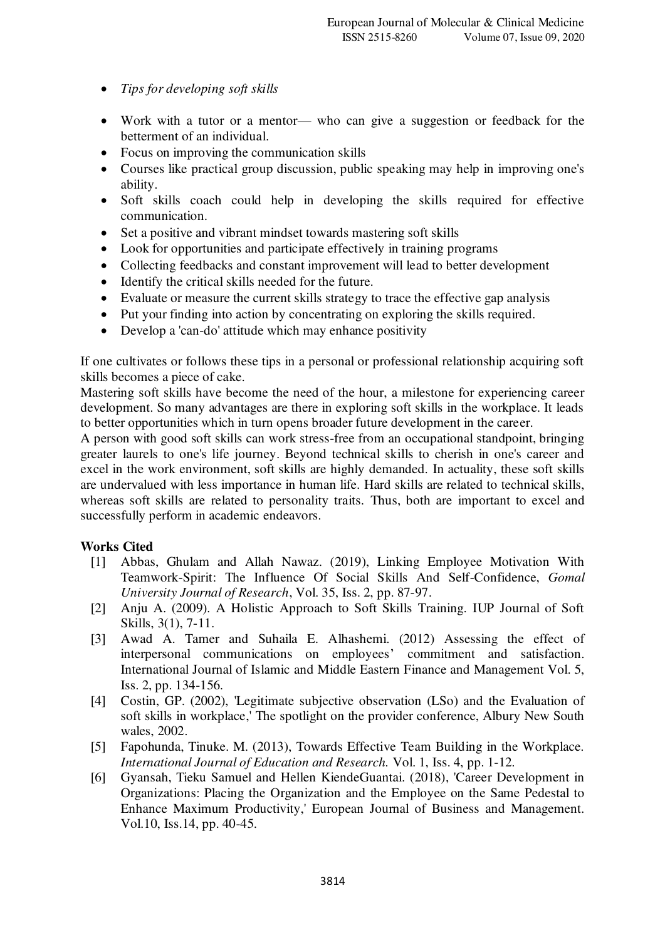- *Tips for developing soft skills*
- Work with a tutor or a mentor— who can give a suggestion or feedback for the betterment of an individual.
- Focus on improving the communication skills
- Courses like practical group discussion, public speaking may help in improving one's ability.
- Soft skills coach could help in developing the skills required for effective communication.
- Set a positive and vibrant mindset towards mastering soft skills
- Look for opportunities and participate effectively in training programs
- Collecting feedbacks and constant improvement will lead to better development
- Identify the critical skills needed for the future.
- Evaluate or measure the current skills strategy to trace the effective gap analysis
- Put your finding into action by concentrating on exploring the skills required.
- Develop a 'can-do' attitude which may enhance positivity

If one cultivates or follows these tips in a personal or professional relationship acquiring soft skills becomes a piece of cake.

Mastering soft skills have become the need of the hour, a milestone for experiencing career development. So many advantages are there in exploring soft skills in the workplace. It leads to better opportunities which in turn opens broader future development in the career.

A person with good soft skills can work stress-free from an occupational standpoint, bringing greater laurels to one's life journey. Beyond technical skills to cherish in one's career and excel in the work environment, soft skills are highly demanded. In actuality, these soft skills are undervalued with less importance in human life. Hard skills are related to technical skills, whereas soft skills are related to personality traits. Thus, both are important to excel and successfully perform in academic endeavors.

## **Works Cited**

- [1] Abbas, Ghulam and Allah Nawaz. (2019), Linking Employee Motivation With Teamwork-Spirit: The Influence Of Social Skills And Self-Confidence, *Gomal University Journal of Research*, Vol. 35, Iss. 2, pp. 87-97.
- [2] Anju A. (2009). A Holistic Approach to Soft Skills Training. IUP Journal of Soft Skills, 3(1), 7-11.
- [3] Awad A. Tamer and Suhaila E. Alhashemi. (2012) Assessing the effect of interpersonal communications on employees' commitment and satisfaction. International Journal of Islamic and Middle Eastern Finance and Management Vol. 5, Iss. 2, pp. 134-156.
- [4] Costin, GP. (2002), 'Legitimate subjective observation (LSo) and the Evaluation of soft skills in workplace,' The spotlight on the provider conference, Albury New South wales, 2002.
- [5] Fapohunda, Tinuke. M. (2013), Towards Effective Team Building in the Workplace. *International Journal of Education and Research.* Vol. 1, Iss. 4, pp. 1-12.
- [6] Gyansah, Tieku Samuel and Hellen KiendeGuantai. (2018), 'Career Development in Organizations: Placing the Organization and the Employee on the Same Pedestal to Enhance Maximum Productivity,' European Journal of Business and Management. Vol.10, Iss.14, pp. 40-45.